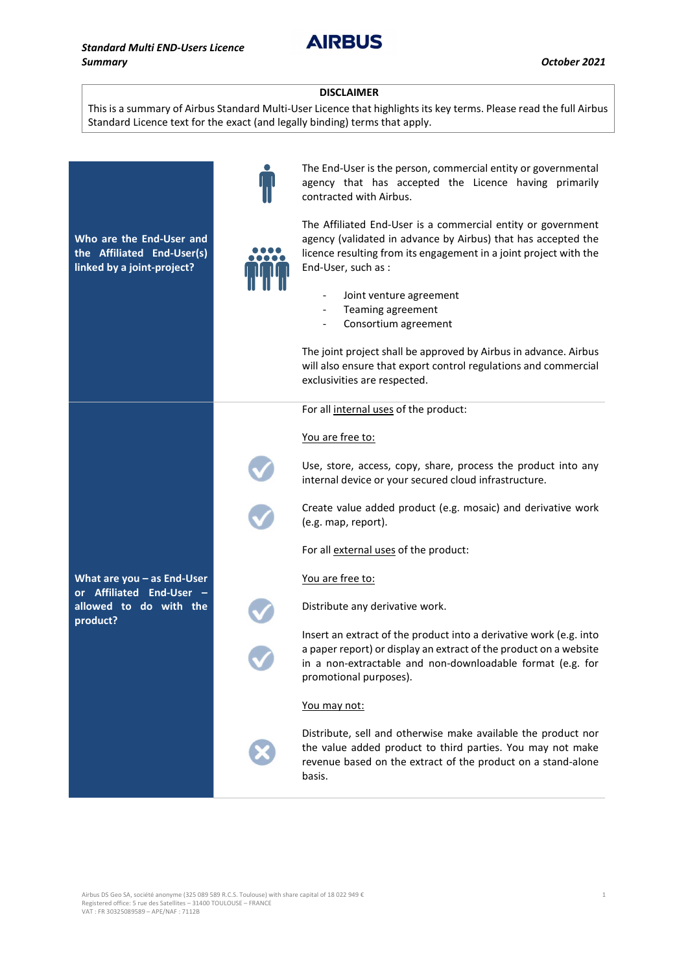**AIRBUS** 

## DISCLAIMER

This is a summary of Airbus Standard Multi-User Licence that highlights its key terms. Please read the full Airbus Standard Licence text for the exact (and legally binding) terms that apply.



Airbus DS Geo SA, société anonyme (325 089 589 R.C.S. Toulouse) with share capital of 18 022 949 € 1 Registered office: 5 rue des Satellites – 31400 TOULOUSE – FRANCE VAT : FR 30325089589 – APE/NAF : 7112B